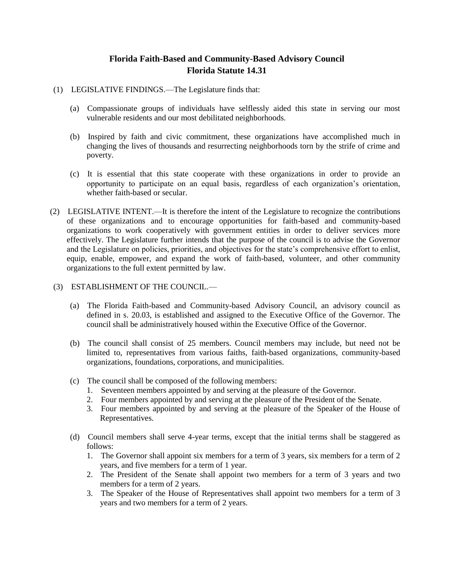## **Florida Faith-Based and Community-Based Advisory Council Florida Statute 14.31**

- (1) LEGISLATIVE FINDINGS.—The Legislature finds that:
	- (a) Compassionate groups of individuals have selflessly aided this state in serving our most vulnerable residents and our most debilitated neighborhoods.
	- (b) Inspired by faith and civic commitment, these organizations have accomplished much in changing the lives of thousands and resurrecting neighborhoods torn by the strife of crime and poverty.
	- (c) It is essential that this state cooperate with these organizations in order to provide an opportunity to participate on an equal basis, regardless of each organization's orientation, whether faith-based or secular.
- (2) LEGISLATIVE INTENT.—It is therefore the intent of the Legislature to recognize the contributions of these organizations and to encourage opportunities for faith-based and community-based organizations to work cooperatively with government entities in order to deliver services more effectively. The Legislature further intends that the purpose of the council is to advise the Governor and the Legislature on policies, priorities, and objectives for the state's comprehensive effort to enlist, equip, enable, empower, and expand the work of faith-based, volunteer, and other community organizations to the full extent permitted by law.
- (3) ESTABLISHMENT OF THE COUNCIL.—
	- (a) The Florida Faith-based and Community-based Advisory Council, an advisory council as defined in s. 20.03, is established and assigned to the Executive Office of the Governor. The council shall be administratively housed within the Executive Office of the Governor.
	- (b) The council shall consist of 25 members. Council members may include, but need not be limited to, representatives from various faiths, faith-based organizations, community-based organizations, foundations, corporations, and municipalities.
	- (c) The council shall be composed of the following members:
		- 1. Seventeen members appointed by and serving at the pleasure of the Governor.
		- 2. Four members appointed by and serving at the pleasure of the President of the Senate.
		- 3. Four members appointed by and serving at the pleasure of the Speaker of the House of Representatives.
	- (d) Council members shall serve 4-year terms, except that the initial terms shall be staggered as follows:
		- 1. The Governor shall appoint six members for a term of 3 years, six members for a term of 2 years, and five members for a term of 1 year.
		- 2. The President of the Senate shall appoint two members for a term of 3 years and two members for a term of 2 years.
		- 3. The Speaker of the House of Representatives shall appoint two members for a term of 3 years and two members for a term of 2 years.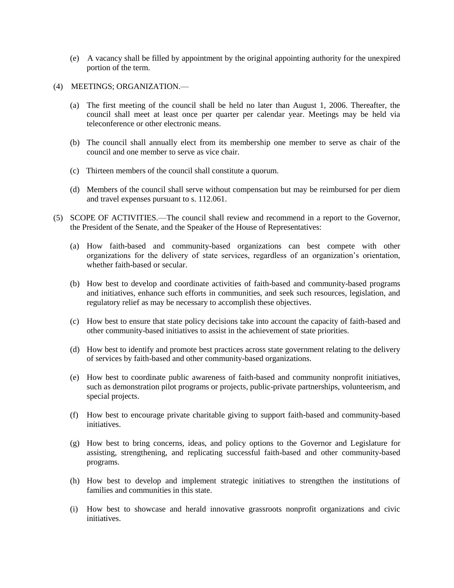- (e) A vacancy shall be filled by appointment by the original appointing authority for the unexpired portion of the term.
- (4) MEETINGS; ORGANIZATION.—
	- (a) The first meeting of the council shall be held no later than August 1, 2006. Thereafter, the council shall meet at least once per quarter per calendar year. Meetings may be held via teleconference or other electronic means.
	- (b) The council shall annually elect from its membership one member to serve as chair of the council and one member to serve as vice chair.
	- (c) Thirteen members of the council shall constitute a quorum.
	- (d) Members of the council shall serve without compensation but may be reimbursed for per diem and travel expenses pursuant to s. 112.061.
- (5) SCOPE OF ACTIVITIES.—The council shall review and recommend in a report to the Governor, the President of the Senate, and the Speaker of the House of Representatives:
	- (a) How faith-based and community-based organizations can best compete with other organizations for the delivery of state services, regardless of an organization's orientation, whether faith-based or secular.
	- (b) How best to develop and coordinate activities of faith-based and community-based programs and initiatives, enhance such efforts in communities, and seek such resources, legislation, and regulatory relief as may be necessary to accomplish these objectives.
	- (c) How best to ensure that state policy decisions take into account the capacity of faith-based and other community-based initiatives to assist in the achievement of state priorities.
	- (d) How best to identify and promote best practices across state government relating to the delivery of services by faith-based and other community-based organizations.
	- (e) How best to coordinate public awareness of faith-based and community nonprofit initiatives, such as demonstration pilot programs or projects, public-private partnerships, volunteerism, and special projects.
	- (f) How best to encourage private charitable giving to support faith-based and community-based initiatives.
	- (g) How best to bring concerns, ideas, and policy options to the Governor and Legislature for assisting, strengthening, and replicating successful faith-based and other community-based programs.
	- (h) How best to develop and implement strategic initiatives to strengthen the institutions of families and communities in this state.
	- (i) How best to showcase and herald innovative grassroots nonprofit organizations and civic initiatives.